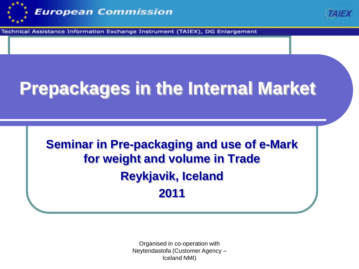



Technical Assistance Information Exchange Instrument (TAIEX), DG Enlargement

#### **Prepackages in the Internal Market**

**Seminar in Pre-packaging and use of e-Mark for weight and volume in Trade Reykjavik, Iceland 2011**

> Organised in co-operation with Neytendastofa (Customer Agency – Iceland NMI)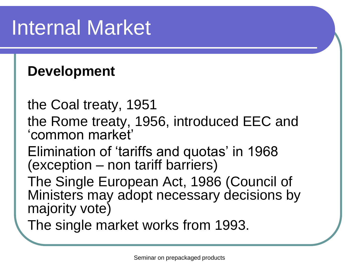# Internal Market

#### **Development**

the Coal treaty, 1951

- the Rome treaty, 1956, introduced EEC and 'common market'
- Elimination of 'tariffs and quotas' in 1968 (exception – non tariff barriers)
- The Single European Act, 1986 (Council of Ministers may adopt necessary decisions by majority vote)
- The single market works from 1993.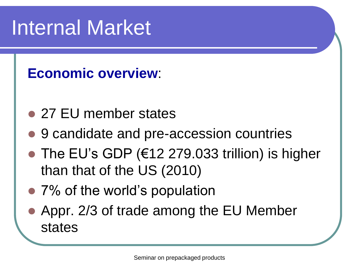# Internal Market

#### **Economic overview**:

- 27 EU member states
- 9 candidate and pre-accession countries
- $\bullet$  The EU's GDP ( $\epsilon$ 12 279.033 trillion) is higher than that of the US (2010)
- 7% of the world's population
- Appr. 2/3 of trade among the EU Member states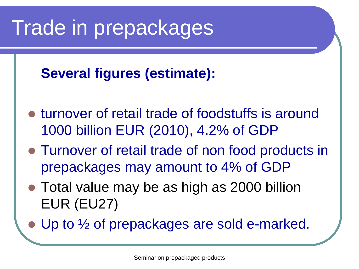# Trade in prepackages

#### **Several figures (estimate):**

- turnover of retail trade of foodstuffs is around 1000 billion EUR (2010), 4.2% of GDP
- Turnover of retail trade of non food products in prepackages may amount to 4% of GDP
- Total value may be as high as 2000 billion EUR (EU27)
- Up to  $\frac{1}{2}$  of prepackages are sold e-marked.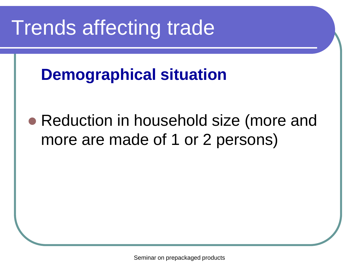## Trends affecting trade

#### **Demographical situation**

• Reduction in household size (more and more are made of 1 or 2 persons)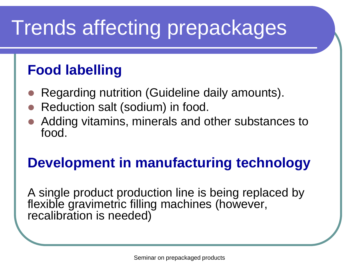# Trends affecting prepackages

#### **Food labelling**

- Regarding nutrition (Guideline daily amounts).
- Reduction salt (sodium) in food.
- Adding vitamins, minerals and other substances to food.

#### **Development in manufacturing technology**

A single product production line is being replaced by flexible gravimetric filling machines (however, recalibration is needed)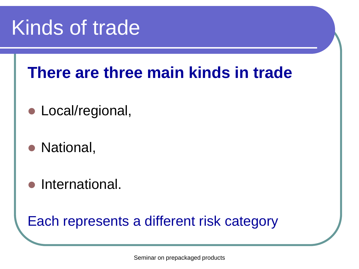## Kinds of trade

#### **There are three main kinds in trade**

- Local/regional,
- National,
- **•** International.

#### Each represents a different risk category

Seminar on prepackaged products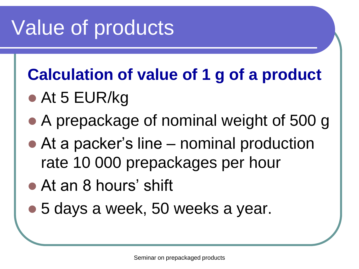# Value of products

#### **Calculation of value of 1 g of a product**

- At 5 EUR/kg
- A prepackage of nominal weight of 500 g
- At a packer's line nominal production rate 10 000 prepackages per hour
- At an 8 hours' shift
- 5 days a week, 50 weeks a year.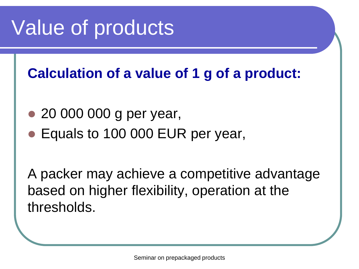# Value of products

**Calculation of a value of 1 g of a product:**

- 20 000 000 g per year,
- Equals to 100 000 EUR per year,

A packer may achieve a competitive advantage based on higher flexibility, operation at the thresholds.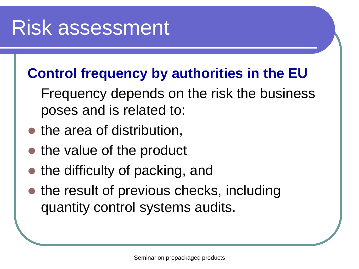#### Risk assessment

#### **Control frequency by authorities in the EU**

- Frequency depends on the risk the business poses and is related to:
- the area of distribution,
- the value of the product
- the difficulty of packing, and
- the result of previous checks, including quantity control systems audits.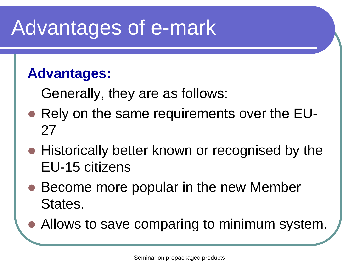# Advantages of e-mark

#### **Advantages:**

Generally, they are as follows:

- Rely on the same requirements over the EU-27
- Historically better known or recognised by the EU-15 citizens
- Become more popular in the new Member States.
- Allows to save comparing to minimum system.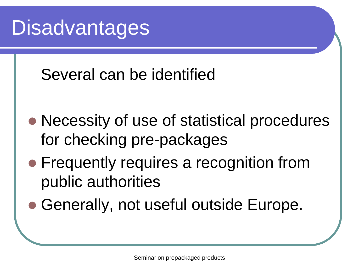## **Disadvantages**

#### Several can be identified

- Necessity of use of statistical procedures for checking pre-packages
- Frequently requires a recognition from public authorities
- Generally, not useful outside Europe.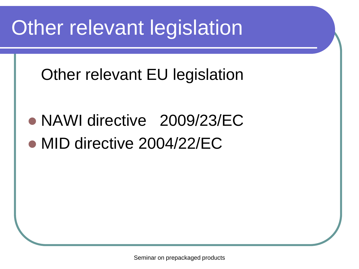# Other relevant legislation

#### Other relevant EU legislation

• NAWI directive 2009/23/EC • MID directive 2004/22/EC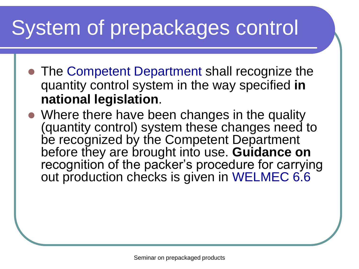- The Competent Department shall recognize the quantity control system in the way specified **in national legislation**.
- Where there have been changes in the quality (quantity control) system these changes need to be recognized by the Competent Department before they are brought into use. **Guidance on** recognition of the packer's procedure for carrying out production checks is given in WELMEC 6.6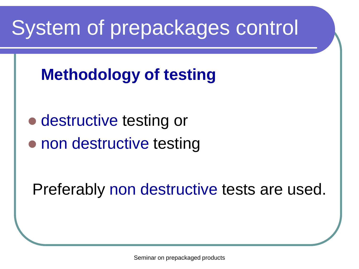#### **Methodology of testing**

• destructive testing or • non destructive testing

Preferably non destructive tests are used.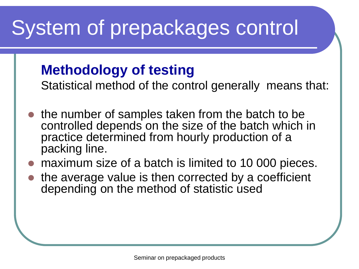#### **Methodology of testing**

Statistical method of the control generally means that:

- the number of samples taken from the batch to be controlled depends on the size of the batch which in practice determined from hourly production of a packing line.
- maximum size of a batch is limited to 10 000 pieces.
- the average value is then corrected by a coefficient depending on the method of statistic used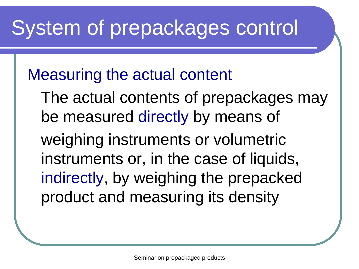#### Measuring the actual content

The actual contents of prepackages may be measured directly by means of weighing instruments or volumetric instruments or, in the case of liquids, indirectly, by weighing the prepacked product and measuring its density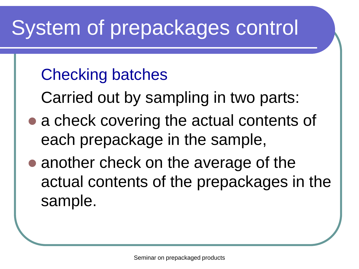#### Checking batches

Carried out by sampling in two parts:

- a check covering the actual contents of each prepackage in the sample,
- another check on the average of the actual contents of the prepackages in the sample.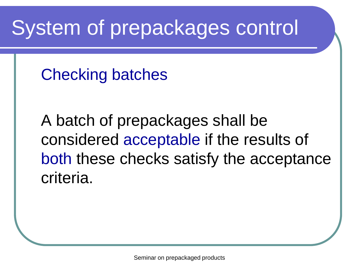Checking batches

A batch of prepackages shall be considered acceptable if the results of both these checks satisfy the acceptance criteria.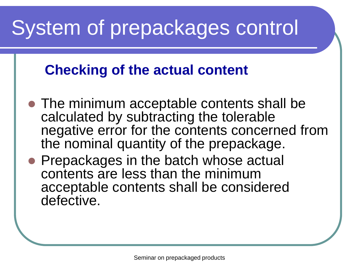#### **Checking of the actual content**

- The minimum acceptable contents shall be calculated by subtracting the tolerable negative error for the contents concerned from the nominal quantity of the prepackage.
- Prepackages in the batch whose actual contents are less than the minimum acceptable contents shall be considered defective.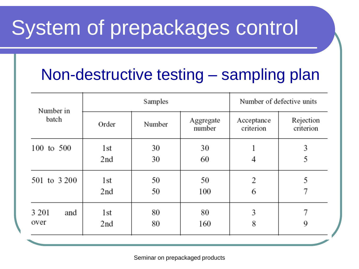#### Non-destructive testing – sampling plan

| Number in<br>batch     | Samples    |          |                     | Number of defective units |                        |
|------------------------|------------|----------|---------------------|---------------------------|------------------------|
|                        | Order      | Number   | Aggregate<br>number | Acceptance<br>criterion   | Rejection<br>criterion |
| 100 to 500             | 1st<br>2nd | 30<br>30 | 30<br>60            | 4                         | 3<br>5                 |
| 501 to 3 200           | 1st<br>2nd | 50<br>50 | 50<br>100           | 2<br>6                    | 5                      |
| 3 2 0 1<br>and<br>over | 1st<br>2nd | 80<br>80 | 80<br>160           | 3<br>8                    | 9                      |

Seminar on prepackaged products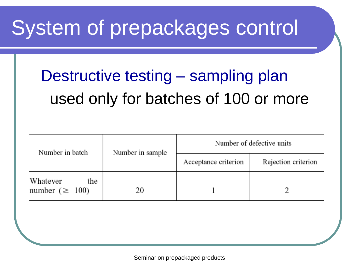#### Destructive testing – sampling plan used only for batches of 100 or more

| Number in batch                          | Number in sample | Number of defective units |                     |  |
|------------------------------------------|------------------|---------------------------|---------------------|--|
|                                          |                  | Acceptance criterion      | Rejection criterion |  |
| Whatever<br>the<br>number ( $\geq 100$ ) | 20               |                           |                     |  |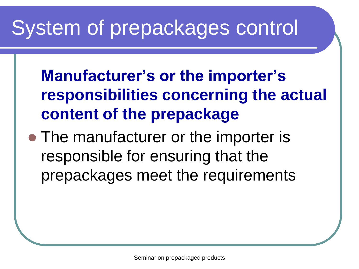**Manufacturer's or the importer's responsibilities concerning the actual content of the prepackage**

• The manufacturer or the importer is responsible for ensuring that the prepackages meet the requirements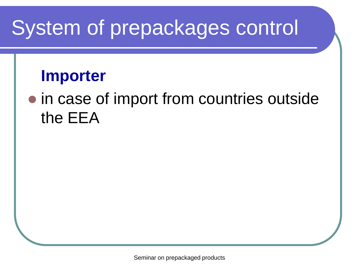#### **Importer**

#### • in case of import from countries outside the EEA

Seminar on prepackaged products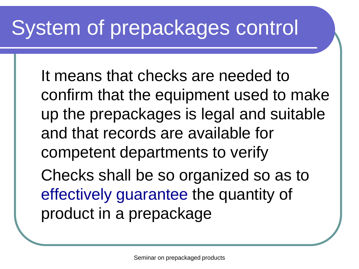It means that checks are needed to confirm that the equipment used to make up the prepackages is legal and suitable and that records are available for competent departments to verify Checks shall be so organized so as to

effectively guarantee the quantity of product in a prepackage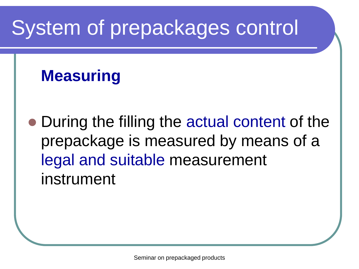#### **Measuring**

• During the filling the actual content of the prepackage is measured by means of a legal and suitable measurement instrument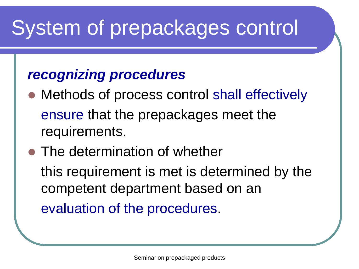#### *recognizing procedures*

• Methods of process control shall effectively ensure that the prepackages meet the requirements.

#### • The determination of whether

this requirement is met is determined by the competent department based on an evaluation of the procedures.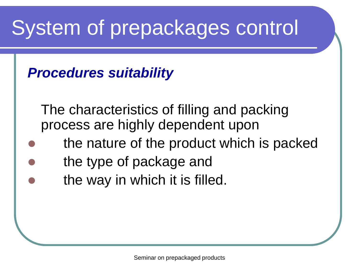#### *Procedures suitability*

The characteristics of filling and packing process are highly dependent upon

- the nature of the product which is packed
- the type of package and
- the way in which it is filled.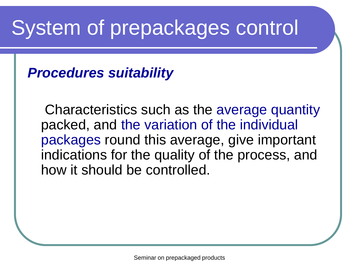*Procedures suitability*

Characteristics such as the average quantity packed, and the variation of the individual packages round this average, give important indications for the quality of the process, and how it should be controlled.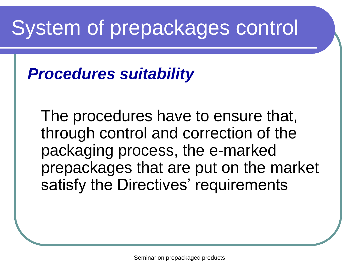#### *Procedures suitability*

The procedures have to ensure that, through control and correction of the packaging process, the e-marked prepackages that are put on the market satisfy the Directives' requirements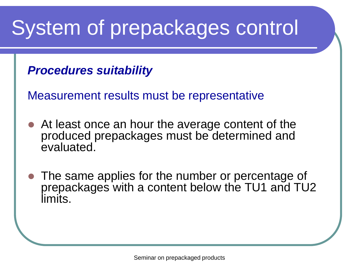#### *Procedures suitability*

Measurement results must be representative

- At least once an hour the average content of the produced prepackages must be determined and evaluated.
- The same applies for the number or percentage of prepackages with a content below the TU1 and TU2 limits.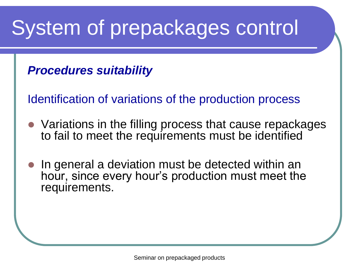#### *Procedures suitability*

Identification of variations of the production process

- Variations in the filling process that cause repackages to fail to meet the requirements must be identified
- In general a deviation must be detected within an hour, since every hour's production must meet the requirements.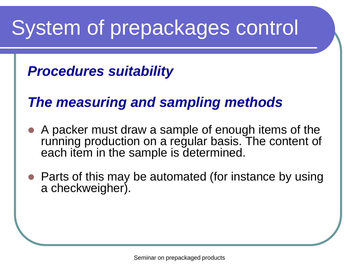#### *Procedures suitability*

#### *The measuring and sampling methods*

- A packer must draw a sample of enough items of the running production on a regular basis. The content of each item in the sample is determined.
- Parts of this may be automated (for instance by using a checkweigher).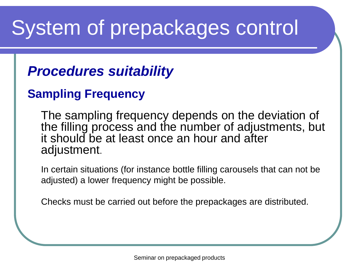#### *Procedures suitability*

#### **Sampling Frequency**

The sampling frequency depends on the deviation of the filling process and the number of adjustments, but it should be at least once an hour and after adjustment.

In certain situations (for instance bottle filling carousels that can not be adjusted) a lower frequency might be possible.

Checks must be carried out before the prepackages are distributed.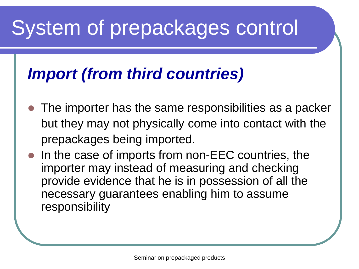#### *Import (from third countries)*

- The importer has the same responsibilities as a packer but they may not physically come into contact with the prepackages being imported.
- In the case of imports from non-EEC countries, the importer may instead of measuring and checking provide evidence that he is in possession of all the necessary guarantees enabling him to assume responsibility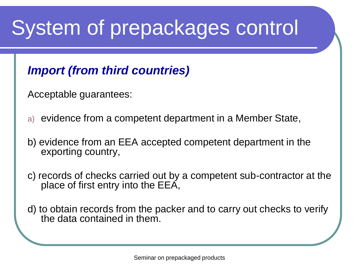#### *Import (from third countries)*

Acceptable guarantees:

- a) evidence from a competent department in a Member State,
- b) evidence from an EEA accepted competent department in the exporting country,
- c) records of checks carried out by a competent sub-contractor at the place of first entry into the EEA,
- d) to obtain records from the packer and to carry out checks to verify the data contained in them.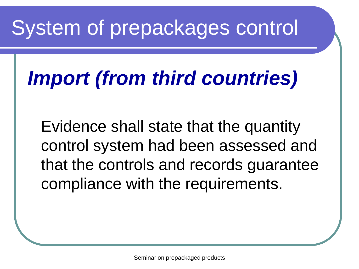# *Import (from third countries)*

Evidence shall state that the quantity control system had been assessed and that the controls and records guarantee compliance with the requirements.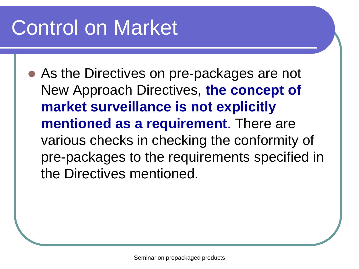# Control on Market

 As the Directives on pre-packages are not New Approach Directives, **the concept of market surveillance is not explicitly mentioned as a requirement**. There are various checks in checking the conformity of pre-packages to the requirements specified in the Directives mentioned.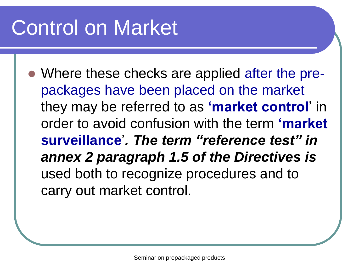# Control on Market

• Where these checks are applied after the prepackages have been placed on the market they may be referred to as **'market control**' in order to avoid confusion with the term **'market surveillance**'*. The term "reference test" in annex 2 paragraph 1.5 of the Directives is*  used both to recognize procedures and to carry out market control.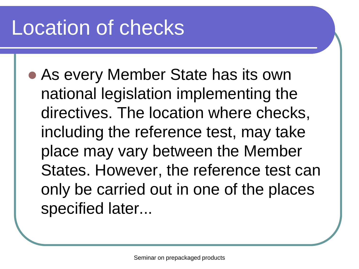# Location of checks

 As every Member State has its own national legislation implementing the directives. The location where checks, including the reference test, may take place may vary between the Member States. However, the reference test can only be carried out in one of the places specified later...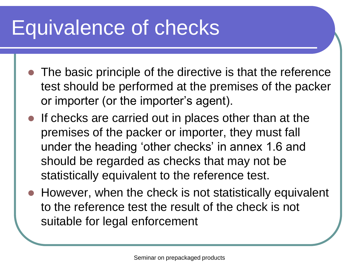# Equivalence of checks

- The basic principle of the directive is that the reference test should be performed at the premises of the packer or importer (or the importer's agent).
- If checks are carried out in places other than at the premises of the packer or importer, they must fall under the heading 'other checks' in annex 1.6 and should be regarded as checks that may not be statistically equivalent to the reference test.
- However, when the check is not statistically equivalent to the reference test the result of the check is not suitable for legal enforcement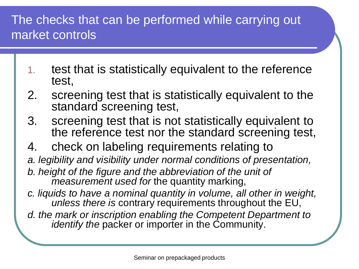#### The checks that can be performed while carrying out market controls

- 1. test that is statistically equivalent to the reference test,
- 2. screening test that is statistically equivalent to the standard screening test,
- 3. screening test that is not statistically equivalent to the reference test nor the standard screening test,
- 4. check on labeling requirements relating to
- *a. legibility and visibility under normal conditions of presentation,*
- *b. height of the figure and the abbreviation of the unit of measurement used for* the quantity marking,
- *c. liquids to have a nominal quantity in volume, all other in weight, unless there is* contrary requirements throughout the EU,
- *d. the mark or inscription enabling the Competent Department to identify the packer or importer in the Community.*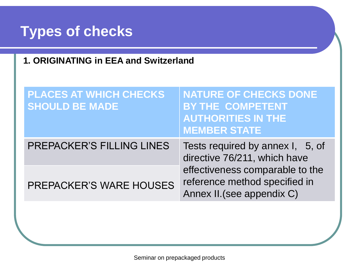#### **Types of checks**

**1. ORIGINATING in EEA and Switzerland**

| <b>PLACES AT WHICH CHECKS</b><br><b>SHOULD BE MADE</b> | <b>NATURE OF CHECKS DONE</b><br><b>BY THE COMPETENT</b><br><b>AUTHORITIES IN THE</b><br><b>MEMBER STATE</b> |  |
|--------------------------------------------------------|-------------------------------------------------------------------------------------------------------------|--|
| <b>PREPACKER'S FILLING LINES</b>                       | Tests required by annex I, 5, of<br>directive 76/211, which have                                            |  |
| <b>PREPACKER'S WARE HOUSES</b>                         | effectiveness comparable to the<br>reference method specified in<br>Annex II. (see appendix C)              |  |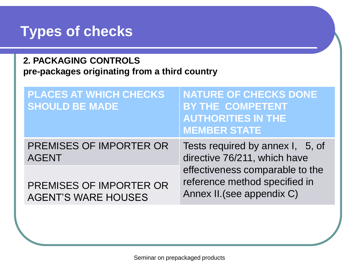#### **Types of checks**

**2. PACKAGING CONTROLS pre-packages originating from a third country** 

| <b>PLACES AT WHICH CHECKS</b><br><b>SHOULD BE MADE</b> | <b>NATURE OF CHECKS DONE</b><br><b>BY THE COMPETENT</b><br><b>AUTHORITIES IN THE</b><br><b>MEMBER STATE</b> |
|--------------------------------------------------------|-------------------------------------------------------------------------------------------------------------|
| <b>PREMISES OF IMPORTER OR</b><br><b>AGENT</b>         | Tests required by annex I, 5, of<br>directive 76/211, which have                                            |
| PREMISES OF IMPORTER OR<br><b>AGENT'S WARE HOUSES</b>  | effectiveness comparable to the<br>reference method specified in<br>Annex II. (see appendix C)              |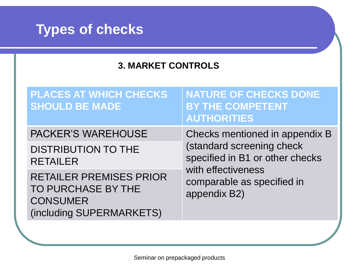

#### **3. MARKET CONTROLS**

| <b>PLACES AT WHICH CHECKS</b><br><b>SHOULD BE MADE</b>                                              | <b>NATURE OF CHECKS DONE</b><br><b>BY THE COMPETENT</b><br><b>AUTHORITIES</b>                                                                                      |
|-----------------------------------------------------------------------------------------------------|--------------------------------------------------------------------------------------------------------------------------------------------------------------------|
| <b>PACKER'S WAREHOUSE</b><br><b>DISTRIBUTION TO THE</b><br><b>RETAILER</b>                          | Checks mentioned in appendix B<br>(standard screening check<br>specified in B1 or other checks<br>with effectiveness<br>comparable as specified in<br>appendix B2) |
| <b>RETAILER PREMISES PRIOR</b><br>TO PURCHASE BY THE<br><b>CONSUMER</b><br>(including SUPERMARKETS) |                                                                                                                                                                    |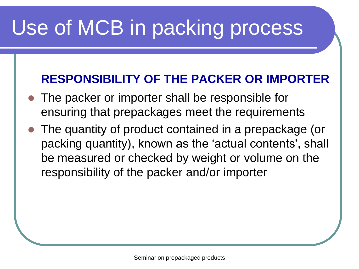# Use of MCB in packing process

#### **RESPONSIBILITY OF THE PACKER OR IMPORTER**

- The packer or importer shall be responsible for ensuring that prepackages meet the requirements
- The quantity of product contained in a prepackage (or packing quantity), known as the 'actual contents', shall be measured or checked by weight or volume on the responsibility of the packer and/or importer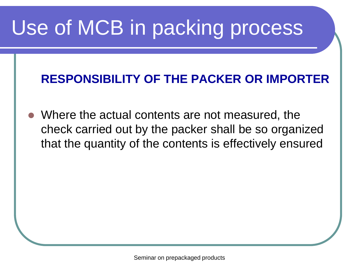# Use of MCB in packing process

#### **RESPONSIBILITY OF THE PACKER OR IMPORTER**

 Where the actual contents are not measured, the check carried out by the packer shall be so organized that the quantity of the contents is effectively ensured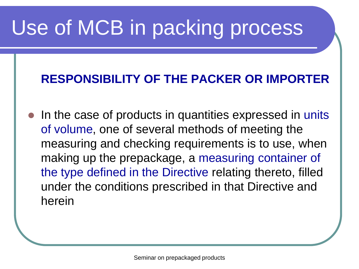# Use of MCB in packing process

#### **RESPONSIBILITY OF THE PACKER OR IMPORTER**

• In the case of products in quantities expressed in units of volume, one of several methods of meeting the measuring and checking requirements is to use, when making up the prepackage, a measuring container of the type defined in the Directive relating thereto, filled under the conditions prescribed in that Directive and herein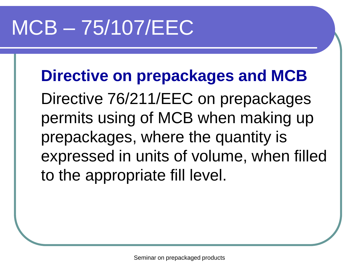# MCB – 75/107/EEC

**Directive on prepackages and MCB** Directive 76/211/EEC on prepackages permits using of MCB when making up prepackages, where the quantity is expressed in units of volume, when filled to the appropriate fill level.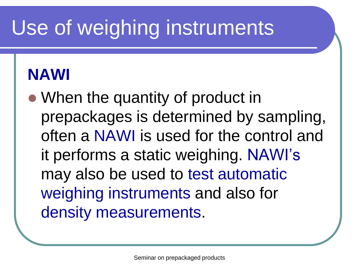# Use of weighing instruments

#### **NAWI**

• When the quantity of product in prepackages is determined by sampling, often a NAWI is used for the control and it performs a static weighing. NAWI's may also be used to test automatic weighing instruments and also for density measurements.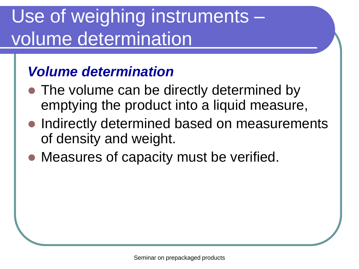#### Use of weighing instruments – volume determination

#### *Volume determination*

- The volume can be directly determined by emptying the product into a liquid measure,
- Indirectly determined based on measurements of density and weight.
- Measures of capacity must be verified.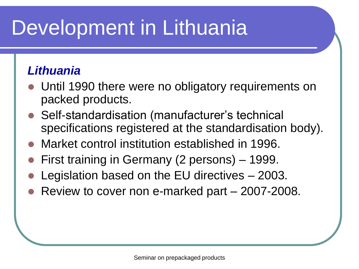# Development in Lithuania

#### *Lithuania*

- Until 1990 there were no obligatory requirements on packed products.
- Self-standardisation (manufacturer's technical specifications registered at the standardisation body).
- Market control institution established in 1996.
- First training in Germany (2 persons) 1999.
- Legislation based on the EU directives 2003.
- Review to cover non e-marked part 2007-2008.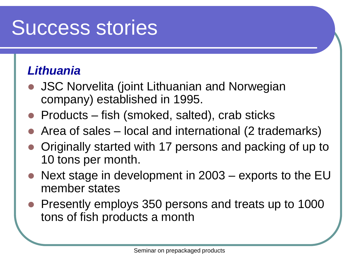## Success stories

#### *Lithuania*

- JSC Norvelita (joint Lithuanian and Norwegian company) established in 1995.
- Products fish (smoked, salted), crab sticks
- Area of sales local and international (2 trademarks)
- Originally started with 17 persons and packing of up to 10 tons per month.
- Next stage in development in 2003 exports to the EU member states
- Presently employs 350 persons and treats up to 1000 tons of fish products a month